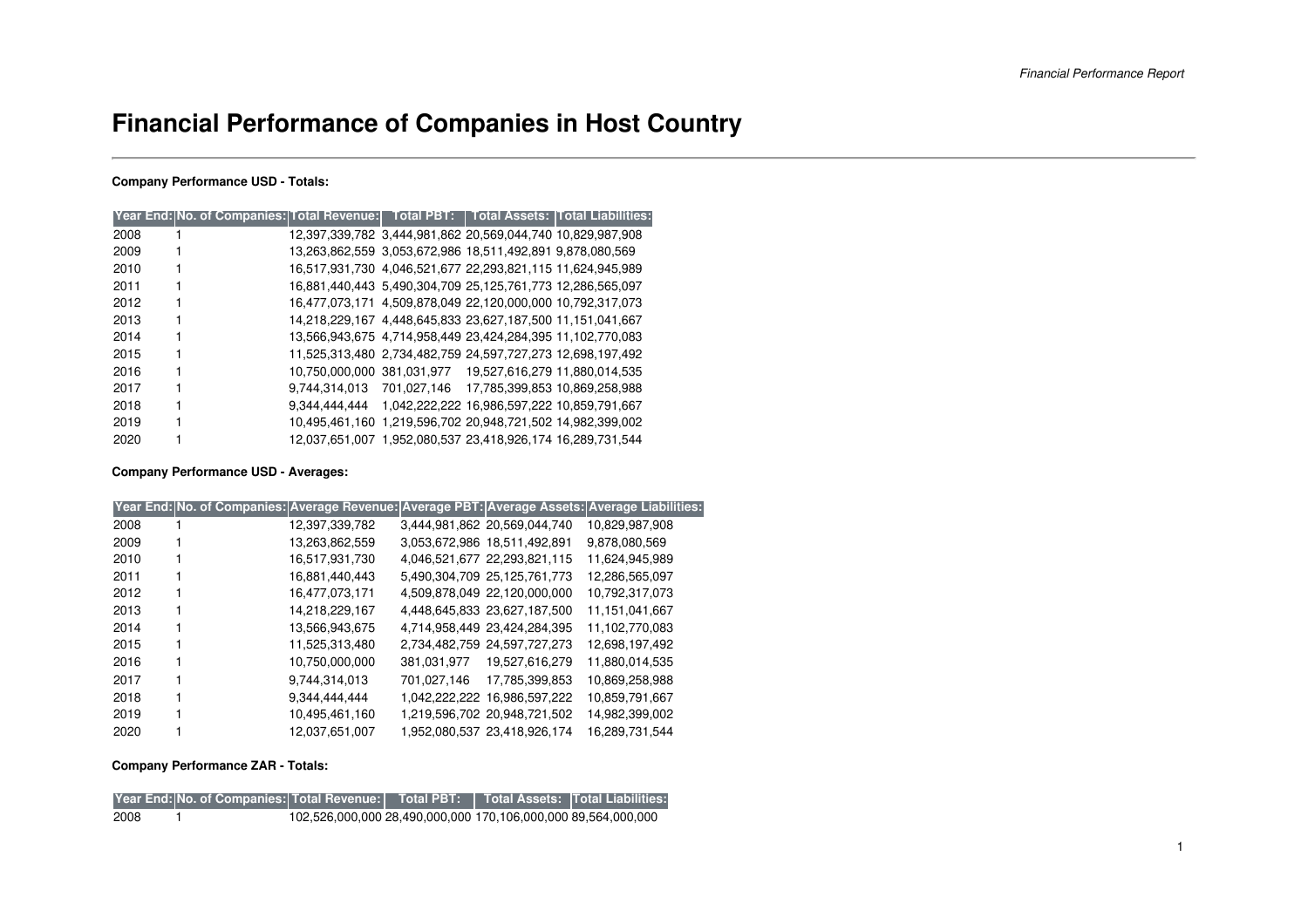# **Financial Performance of Companies in Host Country**

### **Company Performance USD - Totals:**

|      | Year End: No. of Companies: Total Revenue:   Total PBT:   Total Assets:  Total Liabilities: |  |                                                            |  |
|------|---------------------------------------------------------------------------------------------|--|------------------------------------------------------------|--|
| 2008 |                                                                                             |  | 12,397,339,782 3,444,981,862 20,569,044,740 10,829,987,908 |  |
| 2009 |                                                                                             |  | 13,263,862,559 3,053,672,986 18,511,492,891 9,878,080,569  |  |
| 2010 |                                                                                             |  | 16,517,931,730 4,046,521,677 22,293,821,115 11,624,945,989 |  |
| 2011 |                                                                                             |  | 16,881,440,443 5,490,304,709 25,125,761,773 12,286,565,097 |  |
| 2012 |                                                                                             |  | 16,477,073,171 4,509,878,049 22,120,000,000 10,792,317,073 |  |
| 2013 |                                                                                             |  | 14,218,229,167 4,448,645,833 23,627,187,500 11,151,041,667 |  |
| 2014 |                                                                                             |  | 13,566,943,675 4,714,958,449 23,424,284,395 11,102,770,083 |  |
| 2015 |                                                                                             |  | 11,525,313,480 2,734,482,759 24,597,727,273 12,698,197,492 |  |
| 2016 |                                                                                             |  | 10,750,000,000 381,031,977 19,527,616,279 11,880,014,535   |  |
| 2017 |                                                                                             |  | 9.744.314.013 701.027.146 17.785.399.853 10.869.258.988    |  |
| 2018 |                                                                                             |  | 9,344,444,444 1,042,222,222 16,986,597,222 10,859,791,667  |  |
| 2019 |                                                                                             |  | 10,495,461,160 1,219,596,702 20,948,721,502 14,982,399,002 |  |
| 2020 |                                                                                             |  | 12,037,651,007 1,952,080,537 23,418,926,174 16,289,731,544 |  |

### **Company Performance USD - Averages:**

|      | Year End: No. of Companies: Average Revenue: Average PBT: Average Assets: Average Liabilities: |             |                              |                |
|------|------------------------------------------------------------------------------------------------|-------------|------------------------------|----------------|
| 2008 | 12,397,339,782                                                                                 |             | 3,444,981,862 20,569,044,740 | 10,829,987,908 |
| 2009 | 13,263,862,559                                                                                 |             | 3,053,672,986 18,511,492,891 | 9,878,080,569  |
| 2010 | 16,517,931,730                                                                                 |             | 4,046,521,677 22,293,821,115 | 11,624,945,989 |
| 2011 | 16,881,440,443                                                                                 |             | 5,490,304,709 25,125,761,773 | 12,286,565,097 |
| 2012 | 16,477,073,171                                                                                 |             | 4,509,878,049 22,120,000,000 | 10,792,317,073 |
| 2013 | 14,218,229,167                                                                                 |             | 4,448,645,833 23,627,187,500 | 11,151,041,667 |
| 2014 | 13,566,943,675                                                                                 |             | 4,714,958,449 23,424,284,395 | 11,102,770,083 |
| 2015 | 11,525,313,480                                                                                 |             | 2,734,482,759 24,597,727,273 | 12,698,197,492 |
| 2016 | 10,750,000,000                                                                                 |             | 381,031,977 19,527,616,279   | 11,880,014,535 |
| 2017 | 9,744,314,013                                                                                  | 701,027,146 | 17,785,399,853               | 10,869,258,988 |
| 2018 | 9,344,444,444                                                                                  |             | 1,042,222,222 16,986,597,222 | 10,859,791,667 |
| 2019 | 10,495,461,160                                                                                 |             | 1,219,596,702 20,948,721,502 | 14,982,399,002 |
| 2020 | 12,037,651,007                                                                                 |             | 1,952,080,537 23,418,926,174 | 16,289,731,544 |

### **Company Performance ZAR - Totals:**

|      | Year End: No. of Companies: Total Revenue:   Total PBT:   Total Assets:  Total Liabilities: |                                                               |  |  |
|------|---------------------------------------------------------------------------------------------|---------------------------------------------------------------|--|--|
| 2008 |                                                                                             | 102,526,000,000 28,490,000,000 170,106,000,000 89,564,000,000 |  |  |